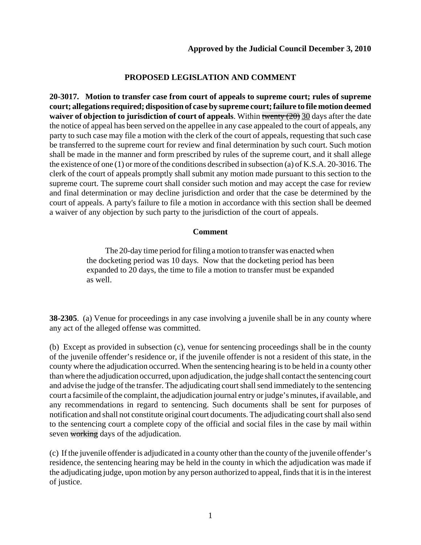# **PROPOSED LEGISLATION AND COMMENT**

**20-3017. Motion to transfer case from court of appeals to supreme court; rules of supreme court; allegations required; disposition of case by supreme court; failure to file motion deemed waiver of objection to jurisdiction of court of appeals**. Within twenty (20) 30 days after the date the notice of appeal has been served on the appellee in any case appealed to the court of appeals, any party to such case may file a motion with the clerk of the court of appeals, requesting that such case be transferred to the supreme court for review and final determination by such court. Such motion shall be made in the manner and form prescribed by rules of the supreme court, and it shall allege the existence of one (1) or more of the conditions described in subsection (a) of K.S.A. 20-3016. The clerk of the court of appeals promptly shall submit any motion made pursuant to this section to the supreme court. The supreme court shall consider such motion and may accept the case for review and final determination or may decline jurisdiction and order that the case be determined by the court of appeals. A party's failure to file a motion in accordance with this section shall be deemed a waiver of any objection by such party to the jurisdiction of the court of appeals.

## **Comment**

The 20-day time period for filing a motion to transfer was enacted when the docketing period was 10 days. Now that the docketing period has been expanded to 20 days, the time to file a motion to transfer must be expanded as well.

**38-2305**. (a) Venue for proceedings in any case involving a juvenile shall be in any county where any act of the alleged offense was committed.

(b) Except as provided in subsection (c), venue for sentencing proceedings shall be in the county of the juvenile offender's residence or, if the juvenile offender is not a resident of this state, in the county where the adjudication occurred. When the sentencing hearing is to be held in a county other than where the adjudication occurred, upon adjudication, the judge shall contact the sentencing court and advise the judge of the transfer. The adjudicating court shall send immediately to the sentencing court a facsimile of the complaint, the adjudication journal entry or judge's minutes, if available, and any recommendations in regard to sentencing. Such documents shall be sent for purposes of notification and shall not constitute original court documents. The adjudicating court shall also send to the sentencing court a complete copy of the official and social files in the case by mail within seven working days of the adjudication.

(c) If the juvenile offender is adjudicated in a county other than the county of the juvenile offender's residence, the sentencing hearing may be held in the county in which the adjudication was made if the adjudicating judge, upon motion by any person authorized to appeal, finds that it is in the interest of justice.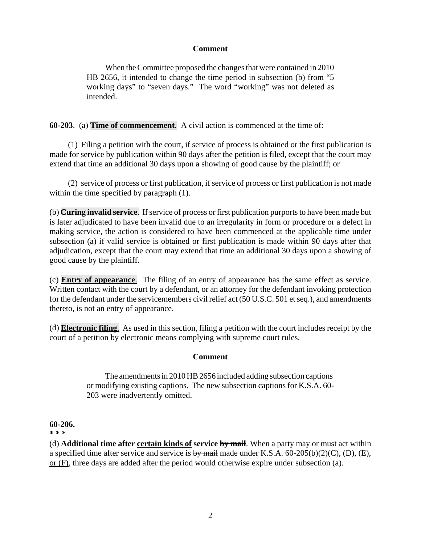## **Comment**

When the Committee proposed the changes that were contained in 2010 HB 2656, it intended to change the time period in subsection (b) from "5 working days" to "seven days." The word "working" was not deleted as intended.

**60-203**. (a) **Time of commencement**. A civil action is commenced at the time of:

(1) Filing a petition with the court, if service of process is obtained or the first publication is made for service by publication within 90 days after the petition is filed, except that the court may extend that time an additional 30 days upon a showing of good cause by the plaintiff; or

(2) service of process or first publication, if service of process or first publication is not made within the time specified by paragraph  $(1)$ .

(b) **Curing invalid service**. If service of process or first publication purports to have been made but is later adjudicated to have been invalid due to an irregularity in form or procedure or a defect in making service, the action is considered to have been commenced at the applicable time under subsection (a) if valid service is obtained or first publication is made within 90 days after that adjudication, except that the court may extend that time an additional 30 days upon a showing of good cause by the plaintiff.

(c) **Entry of appearance**. The filing of an entry of appearance has the same effect as service. Written contact with the court by a defendant, or an attorney for the defendant invoking protection for the defendant under the servicemembers civil relief act (50 U.S.C. 501 et seq.), and amendments thereto, is not an entry of appearance.

(d) **Electronic filing**. As used in this section, filing a petition with the court includes receipt by the court of a petition by electronic means complying with supreme court rules.

## **Comment**

The amendments in 2010 HB 2656 included adding subsection captions or modifying existing captions. The new subsection captions for K.S.A. 60- 203 were inadvertently omitted.

## **60-206.**

**\* \* \***

(d) **Additional time after certain kinds of service by mail**. When a party may or must act within a specified time after service and service is by mail made under K.S.A.  $60-205(b)(2)(C)$ , (D), (E), or (F), three days are added after the period would otherwise expire under subsection (a).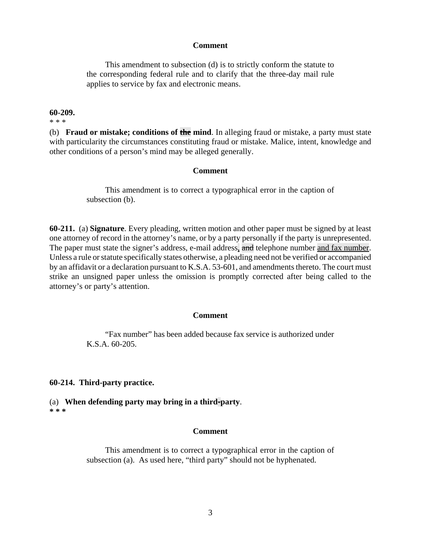#### **Comment**

This amendment to subsection (d) is to strictly conform the statute to the corresponding federal rule and to clarify that the three-day mail rule applies to service by fax and electronic means.

#### **60-209.**

\* \* \*

(b) **Fraud or mistake; conditions of the mind**. In alleging fraud or mistake, a party must state with particularity the circumstances constituting fraud or mistake. Malice, intent, knowledge and other conditions of a person's mind may be alleged generally.

#### **Comment**

This amendment is to correct a typographical error in the caption of subsection (b).

**60-211.** (a) **Signature**. Every pleading, written motion and other paper must be signed by at least one attorney of record in the attorney's name, or by a party personally if the party is unrepresented. The paper must state the signer's address, e-mail address, and telephone number and fax number. Unless a rule or statute specifically states otherwise, a pleading need not be verified or accompanied by an affidavit or a declaration pursuant to K.S.A. 53-601, and amendments thereto. The court must strike an unsigned paper unless the omission is promptly corrected after being called to the attorney's or party's attention.

#### **Comment**

"Fax number" has been added because fax service is authorized under K.S.A. 60-205.

#### **60-214. Third-party practice.**

(a) **When defending party may bring in a third-party**. **\* \* \***

### **Comment**

This amendment is to correct a typographical error in the caption of subsection (a). As used here, "third party" should not be hyphenated.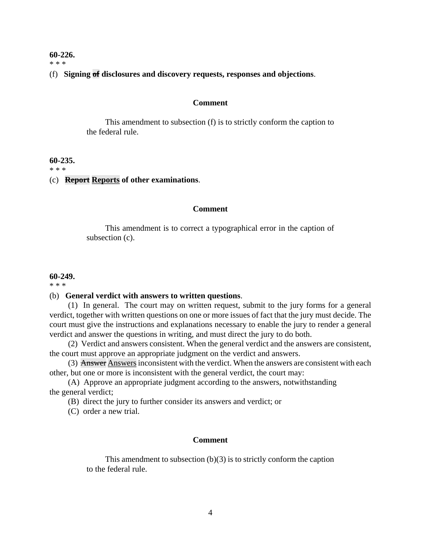#### **60-226.**

\* \* \*

## (f) **Signing of disclosures and discovery requests, responses and objections**.

#### **Comment**

This amendment to subsection (f) is to strictly conform the caption to the federal rule.

#### **60-235.**

\* \* \*

#### (c) **Report Reports of other examinations**.

#### **Comment**

This amendment is to correct a typographical error in the caption of subsection (c).

#### **60-249.**

\* \* \*

### (b) **General verdict with answers to written questions**.

(1) In general. The court may on written request, submit to the jury forms for a general verdict, together with written questions on one or more issues of fact that the jury must decide. The court must give the instructions and explanations necessary to enable the jury to render a general verdict and answer the questions in writing, and must direct the jury to do both.

(2) Verdict and answers consistent. When the general verdict and the answers are consistent, the court must approve an appropriate judgment on the verdict and answers.

(3) Answer Answers inconsistent with the verdict. When the answers are consistent with each other, but one or more is inconsistent with the general verdict, the court may:

(A) Approve an appropriate judgment according to the answers, notwithstanding the general verdict;

(B) direct the jury to further consider its answers and verdict; or

(C) order a new trial.

#### **Comment**

This amendment to subsection (b)(3) is to strictly conform the caption to the federal rule.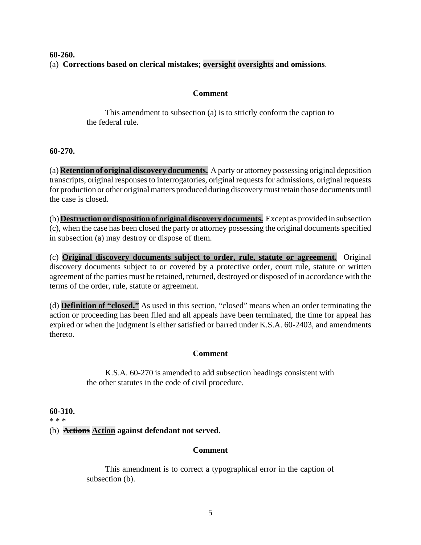## **60-260.** (a) **Corrections based on clerical mistakes; oversight oversights and omissions**.

## **Comment**

This amendment to subsection (a) is to strictly conform the caption to the federal rule.

## **60-270.**

(a) **Retention of original discovery documents.** A party or attorney possessing original deposition transcripts, original responses to interrogatories, original requests for admissions, original requests for production or other original matters produced during discovery must retain those documents until the case is closed.

(b) **Destruction or disposition of original discovery documents.** Except as provided in subsection (c), when the case has been closed the party or attorney possessing the original documents specified in subsection (a) may destroy or dispose of them.

(c) **Original discovery documents subject to order, rule, statute or agreement.** Original discovery documents subject to or covered by a protective order, court rule, statute or written agreement of the parties must be retained, returned, destroyed or disposed of in accordance with the terms of the order, rule, statute or agreement.

(d) **Definition of "closed."** As used in this section, "closed" means when an order terminating the action or proceeding has been filed and all appeals have been terminated, the time for appeal has expired or when the judgment is either satisfied or barred under K.S.A. 60-2403, and amendments thereto.

# **Comment**

K.S.A. 60-270 is amended to add subsection headings consistent with the other statutes in the code of civil procedure.

## **60-310.**

### \* \* \*

# (b) **Actions Action against defendant not served**.

## **Comment**

This amendment is to correct a typographical error in the caption of subsection (b).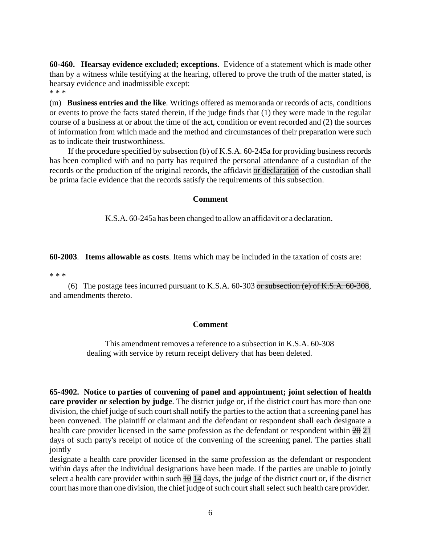**60-460. Hearsay evidence excluded; exceptions**. Evidence of a statement which is made other than by a witness while testifying at the hearing, offered to prove the truth of the matter stated, is hearsay evidence and inadmissible except:

\* \* \*

(m) **Business entries and the like**. Writings offered as memoranda or records of acts, conditions or events to prove the facts stated therein, if the judge finds that (1) they were made in the regular course of a business at or about the time of the act, condition or event recorded and (2) the sources of information from which made and the method and circumstances of their preparation were such as to indicate their trustworthiness.

If the procedure specified by subsection (b) of K.S.A. 60-245a for providing business records has been complied with and no party has required the personal attendance of a custodian of the records or the production of the original records, the affidavit or declaration of the custodian shall be prima facie evidence that the records satisfy the requirements of this subsection.

## **Comment**

K.S.A. 60-245a has been changed to allow an affidavit or a declaration.

## **60-2003**. **Items allowable as costs**. Items which may be included in the taxation of costs are:

\* \* \*

(6) The postage fees incurred pursuant to K.S.A.  $60-303$  or subsection (e) of K.S.A.  $60-308$ , and amendments thereto.

## **Comment**

This amendment removes a reference to a subsection in K.S.A. 60-308 dealing with service by return receipt delivery that has been deleted.

**65-4902. Notice to parties of convening of panel and appointment; joint selection of health care provider or selection by judge**. The district judge or, if the district court has more than one division, the chief judge of such court shall notify the parties to the action that a screening panel has been convened. The plaintiff or claimant and the defendant or respondent shall each designate a health care provider licensed in the same profession as the defendant or respondent within  $2\theta$  21 days of such party's receipt of notice of the convening of the screening panel. The parties shall jointly

designate a health care provider licensed in the same profession as the defendant or respondent within days after the individual designations have been made. If the parties are unable to jointly select a health care provider within such  $\pm\theta$  14 days, the judge of the district court or, if the district court has more than one division, the chief judge of such court shall select such health care provider.